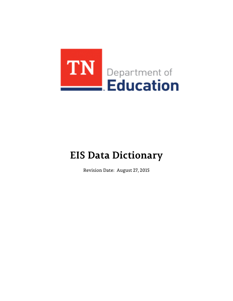

# **EIS Data Dictionary**

Revision Date: August 27, 2015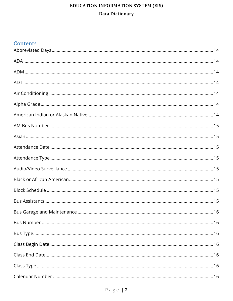# Contents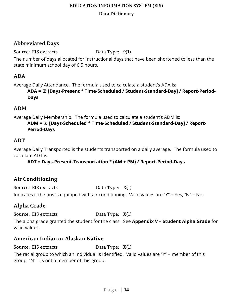## <span id="page-13-0"></span>**Abbreviated Days**

Source: EIS extracts Data Type: 9(1)

The number of days allocated for instructional days that have been shortened to less than the state minimum school day of 6.5 hours.

# <span id="page-13-1"></span>**ADA**

Average Daily Attendance. The formula used to calculate a student's ADA is:

**ADA =** Σ **[Days-Present \* Time-Scheduled / Student-Standard-Day] / Report-Period-Days**

# <span id="page-13-2"></span>**ADM**

Average Daily Membership. The formula used to calculate a student's ADM is:

#### **ADM =** Σ **[Days-Scheduled \* Time-Scheduled / Student-Standard-Day] / Report-Period-Days**

# <span id="page-13-3"></span>**ADT**

Average Daily Transported is the students transported on a daily average. The formula used to calculate ADT is:

### **ADT = Days-Present-Transportation \* (AM + PM) / Report-Period-Days**

# <span id="page-13-4"></span>**Air Conditioning**

Source: EIS extracts Data Type: X(1) Indicates if the bus is equipped with air conditioning. Valid values are "Y" = Yes, "N" = No.

# <span id="page-13-5"></span>**Alpha Grade**

Source: EIS extracts Data Type: X(1)

The alpha grade granted the student for the class. See **Appendix V – Student Alpha Grade** for valid values.

# <span id="page-13-6"></span>**American Indian or Alaskan Native**

Source: EIS extracts Data Type: X(1)

The racial group to which an individual is identified. Valid values are "Y" = member of this group, "N" = is not a member of this group.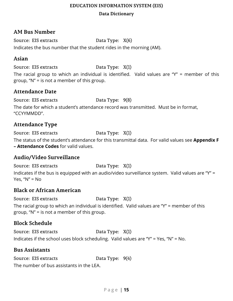#### <span id="page-14-0"></span>**AM Bus Number**

Source: EIS extracts Data Type: X(6) Indicates the bus number that the student rides in the morning (AM).

#### <span id="page-14-1"></span>**Asian**

Source: EIS extracts Data Type: X(1)

The racial group to which an individual is identified. Valid values are "Y" = member of this group, "N" = is not a member of this group.

### <span id="page-14-2"></span>**Attendance Date**

Source: EIS extracts Data Type: 9(8)

The date for which a student's attendance record was transmitted. Must be in format, "CCYYMMDD".

## <span id="page-14-3"></span>**Attendance Type**

Source: EIS extracts Data Type: X(1)

The status of the student's attendance for this transmittal data. For valid values see **Appendix F – Attendance Codes** for valid values.

### <span id="page-14-4"></span>**Audio/Video Surveillance**

Source: EIS extracts Data Type: X(1) Indicates if the bus is equipped with an audio/video surveillance system. Valid values are "Y" = Yes, "N" = No

### <span id="page-14-5"></span>**Black or African American**

Source: EIS extracts Data Type: X(1)

The racial group to which an individual is identified. Valid values are "Y" = member of this group, "N" = is not a member of this group.

# <span id="page-14-6"></span>**Block Schedule**

Source: EIS extracts Data Type: X(1) Indicates if the school uses block scheduling. Valid values are "Y" = Yes, "N" = No.

#### <span id="page-14-7"></span>**Bus Assistants**

Source: EIS extracts Data Type:  $9(4)$ The number of bus assistants in the LEA.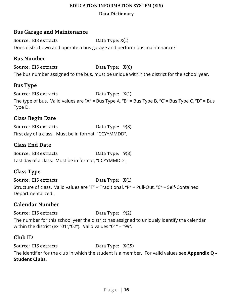#### **Data Dictionary**

#### <span id="page-15-0"></span>**Bus Garage and Maintenance**

Source: EIS extracts Data Type: X(1) Does district own and operate a bus garage and perform bus maintenance?

#### <span id="page-15-1"></span>**Bus Number**

Source: EIS extracts Data Type:  $X(6)$ The bus number assigned to the bus, must be unique within the district for the school year.

## <span id="page-15-2"></span>**Bus Type**

Source: EIS extracts Data Type: X(1) The type of bus. Valid values are "A" = Bus Type A, "B" = Bus Type B, "C"= Bus Type C, "D" = Bus Type D.

### <span id="page-15-3"></span>**Class Begin Date**

Source: EIS extracts Data Type: 9(8) First day of a class. Must be in format, "CCYYMMDD".

## <span id="page-15-4"></span>**Class End Date**

Source: EIS extracts Data Type: 9(8) Last day of a class. Must be in format, "CCYYMMDD".

# <span id="page-15-5"></span>**Class Type**

Source: EIS extracts Data Type: X(1) Structure of class. Valid values are "T" = Traditional, "P" = Pull-Out, "C" = Self-Contained Departmentalized.

# <span id="page-15-6"></span>**Calendar Number**

Source: EIS extracts Data Type: 9(2) The number for this school year the district has assigned to uniquely identify the calendar within the district (ex "01","02"). Valid values "01" – "99".

# <span id="page-15-7"></span>**Club ID**

Source: EIS extracts Data Type: X(15)

The identifier for the club in which the student is a member. For valid values see **Appendix Q – Student Clubs**.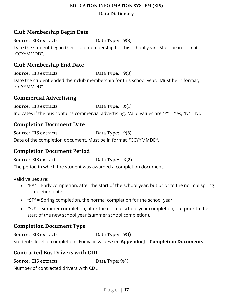#### **Data Dictionary**

## <span id="page-16-0"></span>**Club Membership Begin Date**

Source: EIS extracts Data Type: 9(8) Date the student began their club membership for this school year. Must be in format, "CCYYMMDD".

## <span id="page-16-1"></span>**Club Membership End Date**

Source: EIS extracts Data Type: 9(8) Date the student ended their club membership for this school year. Must be in format, "CCYYMMDD".

#### <span id="page-16-2"></span>**Commercial Advertising**

Source: EIS extracts Data Type: X(1) Indicates if the bus contains commercial advertising. Valid values are "Y" = Yes, "N" = No.

#### <span id="page-16-3"></span>**Completion Document Date**

Source: EIS extracts Data Type: 9(8) Date of the completion document. Must be in format, "CCYYMMDD".

#### <span id="page-16-4"></span>**Completion Document Period**

Source: EIS extracts Data Type: X(2)

The period in which the student was awarded a completion document.

Valid values are:

- "EA" = Early completion, after the start of the school year, but prior to the normal spring completion date.
- "SP" = Spring completion, the normal completion for the school year.
- "SU" = Summer completion, after the normal school year completion, but prior to the start of the new school year (summer school completion).

### <span id="page-16-5"></span>**Completion Document Type**

Source: EIS extracts Data Type: 9(1) Student's level of completion. For valid values see **Appendix J – Completion Documents**.

### <span id="page-16-6"></span>**Contracted Bus Drivers with CDL**

Source: EIS extracts Data Type:  $9(4)$ Number of contracted drivers with CDL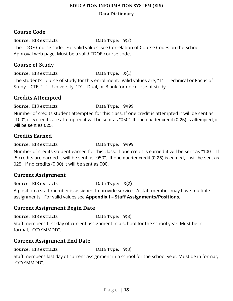#### **Data Dictionary**

## <span id="page-17-0"></span>**Course Code**

Source: EIS extracts Data Type:  $9(5)$ The TDOE Course code. For valid values, see Correlation of Course Codes on the School Approval web page. Must be a valid TDOE course code.

### <span id="page-17-1"></span>**Course of Study**

Source: EIS extracts Data Type: X(1)

The student's course of study for this enrollment. Valid values are, "T" – Technical or Focus of Study – CTE, "U" – University, "D" – Dual, or Blank for no course of study.

## <span id="page-17-2"></span>**Credits Attempted**

Source: EIS extracts Data Type: 9v99

Number of credits student attempted for this class. If one credit is attempted it will be sent as "100", if .5 credits are attempted it will be sent as "050". If one quarter credit (0.25) is attempted, it will be sent as 025.

# <span id="page-17-3"></span>**Credits Earned**

Source: EIS extracts Data Type: 9v99

Number of credits student earned for this class. If one credit is earned it will be sent as "100". If .5 credits are earned it will be sent as "050". If one quarter credit (0.25) is earned, it will be sent as 025. If no credits (0.00) it will be sent as 000.

# <span id="page-17-4"></span>**Current Assignment**

Source: EIS extracts Data Type: X(2)

A position a staff member is assigned to provide service. A staff member may have multiple assignments. For valid values see **Appendix I – Staff Assignments/Positions**.

### <span id="page-17-5"></span>**Current Assignment Begin Date**

Source: EIS extracts Data Type: 9(8)

Staff member's first day of current assignment in a school for the school year. Must be in format, "CCYYMMDD".

### <span id="page-17-6"></span>**Current Assignment End Date**

Source: EIS extracts Data Type: 9(8)

Staff member's last day of current assignment in a school for the school year. Must be in format, "CCYYMMDD".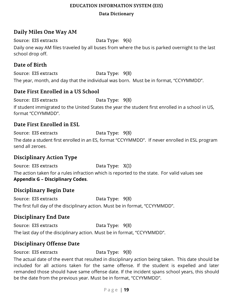#### **Data Dictionary**

# <span id="page-18-0"></span>**Daily Miles One Way AM**

Source: EIS extracts Data Type:  $9(4)$ 

Daily one way AM files traveled by all buses from where the bus is parked overnight to the last school drop off.

# <span id="page-18-1"></span>**Date of Birth**

Source: EIS extracts Data Type: 9(8) The year, month, and day that the individual was born. Must be in format, "CCYYMMDD".

## <span id="page-18-2"></span>**Date First Enrolled in a US School**

Source: EIS extracts Data Type: 9(8) If student immigrated to the United States the year the student first enrolled in a school in US, format "CCYYMMDD".

### <span id="page-18-3"></span>**Date First Enrolled in ESL**

Source: EIS extracts Data Type:  $9(8)$ 

The date a student first enrolled in an ES, format "CCYYMMDD". If never enrolled in ESL program send all zeroes.

# <span id="page-18-4"></span>**Disciplinary Action Type**

Source: EIS extracts Data Type: X(1) The action taken for a rules infraction which is reported to the state. For valid values see **Appendix G – Disciplinary Codes**.

### <span id="page-18-5"></span>**Disciplinary Begin Date**

Source: EIS extracts Data Type: 9(8) The first full day of the disciplinary action. Must be in format, "CCYYMMDD".

# <span id="page-18-6"></span>**Disciplinary End Date**

Source: EIS extracts Data Type: 9(8) The last day of the disciplinary action. Must be in format, "CCYYMMDD".

# <span id="page-18-7"></span>**Disciplinary Offense Date**

Source: EIS extracts Data Type: 9(8)

The actual date of the event that resulted in disciplinary action being taken. This date should be included for all actions taken for the same offense. If the student is expelled and later remanded those should have same offense date. If the incident spans school years, this should be the date from the previous year. Must be in format, "CCYYMMDD".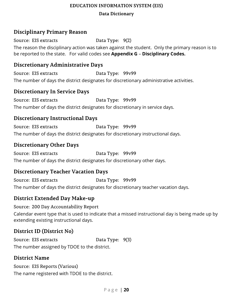#### **Data Dictionary**

## <span id="page-19-0"></span>**Disciplinary Primary Reason**

Source: EIS extracts Data Type: 9(2) The reason the disciplinary action was taken against the student. Only the primary reason is to be reported to the state. For valid codes see **Appendix G** – **Disciplinary Codes.**

#### <span id="page-19-1"></span>**Discretionary Administrative Days**

Source: EIS extracts Data Type: 99v99 The number of days the district designates for discretionary administrative activities.

### <span id="page-19-2"></span>**Discretionary In Service Days**

Source: EIS extracts Data Type: 99v99 The number of days the district designates for discretionary in service days.

## <span id="page-19-3"></span>**Discretionary Instructional Days**

Source: EIS extracts Data Type: 99v99 The number of days the district designates for discretionary instructional days.

### <span id="page-19-4"></span>**Discretionary Other Days**

Source: EIS extracts Data Type: 99v99 The number of days the district designates for discretionary other days.

# <span id="page-19-5"></span>**Discretionary Teacher Vacation Days**

Source: EIS extracts Data Type: 99v99 The number of days the district designates for discretionary teacher vacation days.

### <span id="page-19-6"></span>**District Extended Day Make-up**

Source: 200 Day Accountability Report

Calendar event type that is used to indicate that a missed instructional day is being made up by extending existing instructional days.

# <span id="page-19-7"></span>**District ID (District No)**

Source: EIS extracts Data Type: 9(3) The number assigned by TDOE to the district.

### <span id="page-19-8"></span>**District Name**

Source: EIS Reports (Various) The name registered with TDOE to the district.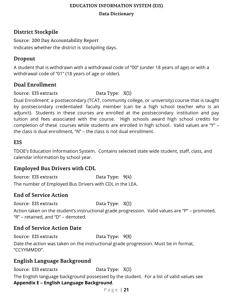**Data Dictionary**

# <span id="page-20-0"></span>**District Stockpile**

Source: 200 Day Accountability Report Indicates whether the district is stockpiling days.

# <span id="page-20-1"></span>**Dropout**

A student that is withdrawn with a withdrawal code of "00" (under 18 years of age) or with a withdrawal code of "01" (18 years of age or older).

## <span id="page-20-2"></span>**Dual Enrollment**

Source: EIS extracts Data Type: X(1)

Dual Enrollment: a postsecondary (TCAT, community college, or university) course that is taught by postsecondary credentialed faculty member (can be a high school teacher who is an adjunct). Students in these courses are enrolled at the postsecondary institution and pay tuition and fees associated with the course. High schools award high school credits for completion of these courses while students are enrolled in high school. Valid values are "Y" – the class is dual enrollment, "N" – the class is not dual enrollment.

### <span id="page-20-3"></span>**EIS**

TDOE's Education Information System. Contains selected state wide student, staff, class, and calendar information by school year.

# <span id="page-20-4"></span>**Employed Bus Drivers with CDL**

Source: EIS extracts Data Type:  $9(4)$ The number of Employed Bus Drivers with CDL in the LEA.

# <span id="page-20-5"></span>**End of Service Action**

Source: EIS extracts Data Type: X(1)

Action taken on the student's instructional grade progression. Valid values are "P" – promoted, "R" – retained, and "D" – demoted.

# <span id="page-20-6"></span>**End of Service Action Date**

Source: EIS extracts Data Type: 9(8)

Date the action was taken on the instructional grade progression. Must be in format, "CCYYMMDD".

# <span id="page-20-7"></span>**English Language Background**

Source: EIS extracts Data Type: X(1)

The English language background possessed by the student. For a list of valid values see **Appendix E – English Language Background**.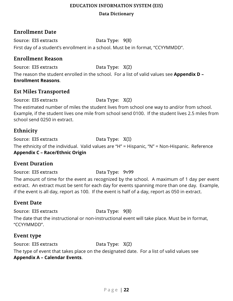## <span id="page-21-0"></span>**Enrollment Date**

Source: EIS extracts Data Type:  $9(8)$ First day of a student's enrollment in a school. Must be in format, "CCYYMMDD".

#### <span id="page-21-1"></span>**Enrollment Reason**

Source: EIS extracts Data Type: X(2)

The reason the student enrolled in the school. For a list of valid values see **Appendix D – Enrollment Reasons**.

## <span id="page-21-2"></span>**Est Miles Transported**

Source: EIS extracts Data Type: X(2)

The estimated number of miles the student lives from school one way to and/or from school. Example, if the student lives one mile from school send 0100. If the student lives 2.5 miles from school send 0250 in extract.

# <span id="page-21-3"></span>**Ethnicity**

Source: EIS extracts Data Type: X(1)

The ethnicity of the individual. Valid values are "H" = Hispanic, "N" = Non-Hispanic. Reference **Appendix C – Race/Ethnic Origin**

# <span id="page-21-4"></span>**Event Duration**

Source: EIS extracts Data Type: 9v99

The amount of time for the event as recognized by the school. A maximum of 1 day per event extract. An extract must be sent for each day for events spanning more than one day. Example, if the event is all day, report as 100. If the event is half of a day, report as 050 in extract.

# <span id="page-21-5"></span>**Event Date**

Source: EIS extracts Data Type:  $9(8)$ 

The date that the instructional or non-instructional event will take place. Must be in format, "CCYYMMDD".

# <span id="page-21-6"></span>**Event type**

Source: EIS extracts Data Type: X(2) The type of event that takes place on the designated date. For a list of valid values see **Appendix A – Calendar Events**.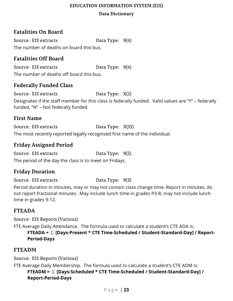#### **Data Dictionary**

# <span id="page-22-0"></span>**Fatalities On Board**

Source: EIS extracts Data Type:  $9(4)$ The number of deaths on board this bus.

# <span id="page-22-1"></span>**Fatalities Off Board**

Source: EIS extracts Data Type:  $9(4)$ The number of deaths off board this bus.

## <span id="page-22-2"></span>**Federally Funded Class**

Source: EIS extracts Data Type: X(1) Designates if the staff member for this class is federally funded. Valid values are "Y" – federally funded, "N" – Not federally funded.

#### <span id="page-22-3"></span>**First Name**

Source: EIS extracts Data Type: X(15) The most recently reported legally recognized first name of the individual.

## <span id="page-22-4"></span>**Friday Assigned Period**

Source: EIS extracts Data Type: 9(2) The period of the day the class is to meet on Fridays.

# <span id="page-22-5"></span>**Friday Duration**

Source: EIS extracts Data Type: 9(3)

Period duration in minutes, may or may not contain class change time. Report in minutes, do not report fractional minutes. May include lunch time in grades P3-8; may not include lunch time in grades 9-12.

# <span id="page-22-6"></span>**FTEADA**

Source: EIS Reports (Various)

FTE Average Daily Attendance. The formula used to calculate a student's CTE ADA is: **FTEADA =** Σ **[Days-Present \* CTE Time-Scheduled / Student-Standard-Day] / Report-**

#### **Period-Days**

### <span id="page-22-7"></span>**FTEADM**

Source: EIS Reports (Various)

FTE Average Daily Membership. The formula used to calculate a student's CTE ADM is: **FTEADM =** Σ **[Days-Scheduled \* CTE Time-Scheduled / Student-Standard-Day] / Report-Period-Days**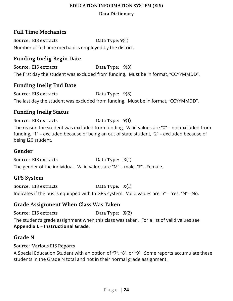# <span id="page-23-0"></span>**Full Time Mechanics**

Source: EIS extracts Data Type:  $9(4)$ Number of full time mechanics employed by the district.

## <span id="page-23-1"></span>**Funding Inelig Begin Date**

Source: EIS extracts Data Type: 9(8) The first day the student was excluded from funding. Must be in format, "CCYYMMDD".

### <span id="page-23-2"></span>**Funding Inelig End Date**

Source: EIS extracts Data Type: 9(8) The last day the student was excluded from funding. Must be in format, "CCYYMMDD".

### <span id="page-23-3"></span>**Funding Inelig Status**

Source: EIS extracts Data Type:  $9(1)$ The reason the student was excluded from funding. Valid values are "0" – not excluded from funding, "1" – excluded because of being an out of state student, "2" – excluded because of being I20 student.

#### <span id="page-23-4"></span>**Gender**

Source: EIS extracts Data Type: X(1) The gender of the individual. Valid values are "M" – male, "F" - Female.

#### <span id="page-23-5"></span>**GPS System**

Source: EIS extracts Data Type: X(1) Indicates if the bus is equipped with ta GPS system. Valid values are "Y" – Yes, "N" - No.

### <span id="page-23-6"></span>**Grade Assignment When Class Was Taken**

Source: EIS extracts Data Type: X(2) The student's grade assignment when this class was taken. For a list of valid values see **Appendix L – Instructional Grade**.

### <span id="page-23-7"></span>**Grade N**

Source: Various EIS Reports

A Special Education Student with an option of "7", "8", or "9". Some reports accumulate these students in the Grade N total and not in their normal grade assignment.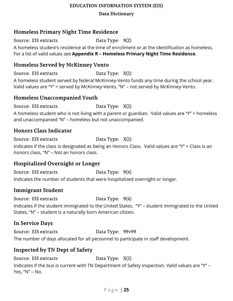#### **Data Dictionary**

## <span id="page-24-0"></span>**Homeless Primary Night Time Residence**

Source: EIS extracts Data Type: 9(2)

A homeless student's residence at the time of enrollment or at the identification as homeless. For a list of valid values see **Appendix R – Homeless Primary Night Time Residence**.

## <span id="page-24-1"></span>**Homeless Served by McKinney Vento**

Source: EIS extracts Data Type: X(1)

A homeless student served by federal McKinney-Vento funds any time during the school year. Valid values are "Y" = served by McKinney-Vento, "N" – not served by McKinney-Vento.

#### <span id="page-24-2"></span>**Homeless Unaccompanied Youth**

Source: EIS extracts Data Type: X(1)

A homeless student who is not living with a parent or guardian. Valid values are "Y" = homeless and unaccompanied "N" – homeless but not unaccompanied.

### <span id="page-24-3"></span>**Honors Class Indicator**

Source: EIS extracts Data Type: X(1) Indicates if the class is designated as being an Honors Class. Valid values are "Y" = Class is an honors class, "N" – Not an honors class.

# <span id="page-24-4"></span>**Hospitalized Overnight or Longer**

Source: EIS extracts Data Type:  $9(4)$ 

Indicates the number of students that were hospitalized overnight or longer.

### <span id="page-24-5"></span>**Immigrant Student**

Source: EIS extracts Data Type:  $9(4)$ 

Indicates if the student immigrated to the United States. "Y" – student immigrated to the United States, "N" – student is a naturally born American citizen.

# <span id="page-24-6"></span>**In Service Days**

Source: EIS extracts Data Type: 99v99

The number of days allocated for all personnel to participate in staff development.

# <span id="page-24-7"></span>**Inspected by TN Dept of Safety**

Source: EIS extracts Data Type: X(1)

Indicates if the bus is current with TN Department of Safety inspection. Valid values are "Y" – Yes, "N" – No.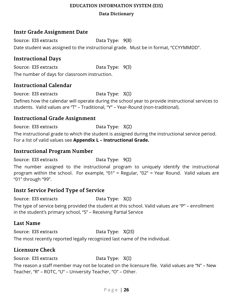#### **Data Dictionary**

## <span id="page-25-0"></span>**Instr Grade Assignment Date**

Source: EIS extracts Data Type:  $9(8)$ Date student was assigned to the instructional grade. Must be in format, "CCYYMMDD".

## <span id="page-25-1"></span>**Instructional Days**

Source: EIS extracts Data Type: 9(3) The number of days for classroom instruction.

### <span id="page-25-2"></span>**Instructional Calendar**

Source: EIS extracts Data Type: X(1) Defines how the calendar will operate during the school year to provide instructional services to students. Valid values are "T" – Traditional, "Y" – Year-Round (non-traditional).

### <span id="page-25-3"></span>**Instructional Grade Assignment**

Source: EIS extracts Data Type: X(2)

The instructional grade to which the student is assigned during the instructional service period. For a list of valid values see **Appendix L – Instructional Grade.**

#### <span id="page-25-4"></span>**Instructional Program Number**

Source: EIS extracts Data Type: 9(2)

The number assigned to the instructional program to uniquely identify the instructional program within the school. For example, "01" = Regular, "02" = Year Round. Valid values are "01" through "99".

### <span id="page-25-5"></span>**Instr Service Period Type of Service**

Source: EIS extracts Data Type: X(1)

The type of service being provided the student at this school. Valid values are "P" – enrollment in the student's primary school, "S" – Receiving Partial Service

### <span id="page-25-6"></span>**Last Name**

Source: EIS extracts Data Type: X(25)

The most recently reported legally recognized last name of the individual.

### <span id="page-25-7"></span>**Licensure Check**

Source: EIS extracts Data Type: X(1)

The reason a staff member may not be located on the licensure file. Valid values are "N" – New Teacher, "R" – ROTC, "U" – University Teacher, "O" – Other.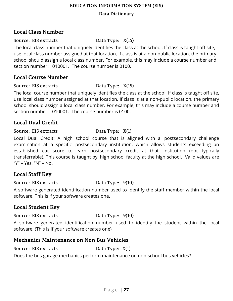#### **Data Dictionary**

## <span id="page-26-0"></span>**Local Class Number**

Source: EIS extracts Data Type: X(15)

The local class number that uniquely identifies the class at the school. If class is taught off site, use local class number assigned at that location. If class is at a non-public location, the primary school should assign a local class number. For example, this may include a course number and section number: 010001. The course number is 0100.

#### <span id="page-26-1"></span>**Local Course Number**

Source: EIS extracts Data Type: X(15)

The local course number that uniquely identifies the class at the school. If class is taught off site, use local class number assigned at that location. If class is at a non-public location, the primary school should assign a local class number. For example, this may include a course number and section number: 010001. The course number is 0100.

### <span id="page-26-2"></span>**Local Dual Credit**

Source: EIS extracts Data Type: X(1)

Local Dual Credit: A high school course that is aligned with a postsecondary challenge examination at a specific postsecondary institution, which allows students exceeding an established cut score to earn postsecondary credit at that institution (not typically transferrable). This course is taught by high school faculty at the high school. Valid values are "Y" – Yes, "N" – No.

# <span id="page-26-3"></span>**Local Staff Key**

Source: EIS extracts Data Type: 9(10)

A software generated identification number used to identify the staff member within the local software. This is if your software creates one.

### <span id="page-26-4"></span>**Local Student Key**

Source: EIS extracts Data Type: 9(10)

A software generated identification number used to identify the student within the local software. (This is if your software creates one)

### <span id="page-26-5"></span>**Mechanics Maintenance on Non Bus Vehicles**

Source: EIS extracts Data Type: X(1)

Does the bus garage mechanics perform maintenance on non-school bus vehicles?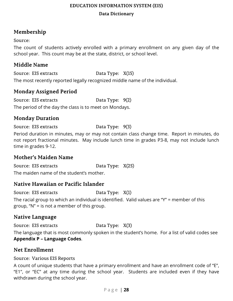# <span id="page-27-0"></span>**Membership**

#### Source:

The count of students actively enrolled with a primary enrollment on any given day of the school year. This count may be at the state, district, or school level.

## <span id="page-27-1"></span>**Middle Name**

Source: EIS extracts Data Type: X(15) The most recently reported legally recognized middle name of the individual.

# <span id="page-27-2"></span>**Monday Assigned Period**

Source: EIS extracts Data Type: 9(2) The period of the day the class is to meet on Mondays.

# <span id="page-27-3"></span>**Monday Duration**

Source: EIS extracts Data Type: 9(3)

Period duration in minutes, may or may not contain class change time. Report in minutes, do not report fractional minutes. May include lunch time in grades P3-8, may not include lunch time in grades 9-12.

# <span id="page-27-4"></span>**Mother's Maiden Name**

Source: EIS extracts Data Type: X(25) The maiden name of the student's mother.

# <span id="page-27-5"></span>**Native Hawaiian or Pacific Islander**

Source: EIS extracts Data Type: X(1)

The racial group to which an individual is identified. Valid values are "Y" = member of this group, "N" = is not a member of this group.

# <span id="page-27-6"></span>**Native Language**

Source: EIS extracts Data Type: X(3) The language that is most commonly spoken in the student's home. For a list of valid codes see **Appendix P – Language Codes**.

# <span id="page-27-7"></span>**Net Enrollment**

Source: Various EIS Reports

A count of unique students that have a primary enrollment and have an enrollment code of "E", "E1", or "EC" at any time during the school year. Students are included even if they have withdrawn during the school year.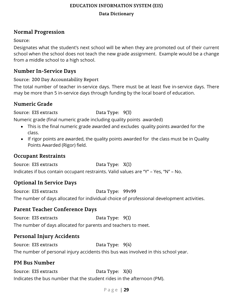#### **Data Dictionary**

# <span id="page-28-0"></span>**Normal Progression**

Source:

Designates what the student's next school will be when they are promoted out of their current school when the school does not teach the new grade assignment. Example would be a change from a middle school to a high school.

## <span id="page-28-1"></span>**Number In-Service Days**

Source: 200 Day Accountability Report

The total number of teacher in-service days. There must be at least five in-service days. There may be more than 5 in-service days through funding by the local board of education.

# <span id="page-28-2"></span>**Numeric Grade**

Source: EIS extracts Data Type: 9(3)

Numeric grade (final numeric grade including quality points awarded)

- This is the final numeric grade awarded and excludes quality points awarded for the class.
- If rigor points are awarded, the quality points awarded for the class must be in Quality Points Awarded (Rigor) field.

# <span id="page-28-3"></span>**Occupant Restraints**

Source: EIS extracts Data Type: X(1) Indicates if bus contain occupant restraints. Valid values are "Y" – Yes, "N" – No.

# <span id="page-28-4"></span>**Optional In Service Days**

Source: EIS extracts Data Type: 99v99 The number of days allocated for individual choice of professional development activities.

# <span id="page-28-5"></span>**Parent Teacher Conference Days**

Source: EIS extracts Data Type: 9(1) The number of days allocated for parents and teachers to meet.

# <span id="page-28-6"></span>**Personal Injury Accidents**

Source: EIS extracts Data Type:  $9(4)$ The number of personal injury accidents this bus was involved in this school year.

# <span id="page-28-7"></span>**PM Bus Number**

Source: EIS extracts Data Type: X(6) Indicates the bus number that the student rides in the afternoon (PM).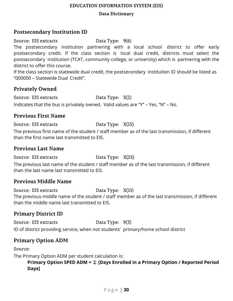#### **Data Dictionary**

## <span id="page-29-0"></span>**Postsecondary Institution ID**

Source: EIS extracts Data Type: 9(6)

The postsecondary institution partnering with a local school district to offer early postsecondary credit. If the class section is local dual credit, districts must select the postsecondary institution (TCAT, community college, or university) which is partnering with the district to offer this course.

If the class section is statewide dual credit, the postsecondary institution ID should be listed as "000000 – Statewide Dual Credit".

### <span id="page-29-1"></span>**Privately Owned**

Source: EIS extracts Data Type: X(1) Indicates that the bus is privately owned. Valid values are "Y" – Yes, "N" – No.

### <span id="page-29-2"></span>**Previous First Name**

#### Source: EIS extracts Data Type: X(15)

The previous first name of the student / staff member as of the last transmission, if different than the first name last transmitted to EIS.

#### <span id="page-29-3"></span>**Previous Last Name**

Source: EIS extracts Data Type: X(25)

The previous last name of the student / staff member as of the last transmission, if different than the last name last transmitted to EIS.

### <span id="page-29-4"></span>**Previous Middle Name**

Source: EIS extracts Data Type: X(15) The previous middle name of the student / staff member as of the last transmission, if different than the middle name last transmitted to EIS.

# <span id="page-29-5"></span>**Primary District ID**

Source: EIS extracts Data Type: 9(3) ID of district providing service, when not students' primary/home school district

# <span id="page-29-6"></span>**Primary Option ADM**

Source:

The Primary Option ADM per student calculation is:

**Primary Option SPED ADM =** Σ **[Days Enrolled in a Primary Option / Reported Period Days]**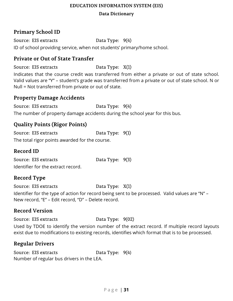#### **Data Dictionary**

## <span id="page-30-0"></span>**Primary School ID**

Source: EIS extracts Data Type:  $9(4)$ ID of school providing service, when not students' primary/home school.

#### <span id="page-30-1"></span>**Private or Out of State Transfer**

Source: EIS extracts Data Type: X(1)

Indicates that the course credit was transferred from either a private or out of state school. Valid values are "Y" – student's grade was transferred from a private or out of state school. N or Null = Not transferred from private or out of state.

#### <span id="page-30-2"></span>**Property Damage Accidents**

Source: EIS extracts Data Type:  $9(4)$ The number of property damage accidents during the school year for this bus.

## <span id="page-30-3"></span>**Quality Points (Rigor Points)**

Source: EIS extracts Data Type: 9(1) The total rigor points awarded for the course.

#### <span id="page-30-4"></span>**Record ID**

| Source: EIS extracts               | Data Type: 9(3) |  |
|------------------------------------|-----------------|--|
| Identifier for the extract record. |                 |  |

# <span id="page-30-5"></span>**Record Type**

Source: EIS extracts Data Type: X(1) Identifier for the type of action for record being sent to be processed. Valid values are "N" – New record, "E" – Edit record, "D" – Delete record.

# <span id="page-30-6"></span>**Record Version**

Source: EIS extracts Data Type: 9(02)

Used by TDOE to identify the version number of the extract record. If multiple record layouts exist due to modifications to existing records, identifies which format that is to be processed.

### <span id="page-30-7"></span>**Regular Drivers**

Source: EIS extracts Data Type:  $9(4)$ Number of regular bus drivers in the LEA.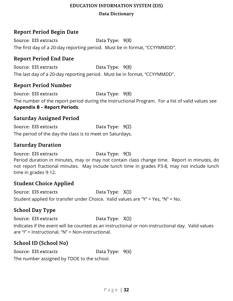#### **Data Dictionary**

## <span id="page-31-0"></span>**Report Period Begin Date**

Source: EIS extracts Data Type: 9(8) The first day of a 20-day reporting period. Must be in format, "CCYYMMDD".

## <span id="page-31-1"></span>**Report Period End Date**

Source: EIS extracts Data Type: 9(8) The last day of a 20-day reporting period. Must be in format, "CCYYMMDD".

#### <span id="page-31-2"></span>**Report Period Number**

Source: EIS extracts Data Type: 9(8) The number of the report period during the Instructional Program. For a list of valid values see **Appendix B – Report Periods**.

#### <span id="page-31-3"></span>**Saturday Assigned Period**

Source: EIS extracts Data Type: 9(2) The period of the day the class is to meet on Saturdays.

### <span id="page-31-4"></span>**Saturday Duration**

Source: EIS extracts Data Type: 9(3) Period duration in minutes, may or may not contain class change time. Report in minutes, do not report fractional minutes. May include lunch time in grades P3-8, may not include lunch time in grades 9-12.

### <span id="page-31-5"></span>**Student Choice Applied**

Source: EIS extracts Data Type: X(1) Student applied for transfer under Choice. Valid values are "Y" = Yes, "N" = No.

# <span id="page-31-6"></span>**School Day Type**

Source: EIS extracts Data Type: X(1)

Indicates if the event will be counted as an instructional or non-instructional day. Valid values are "I" = Instructional, "N" = Non-instructional.

# <span id="page-31-7"></span>**School ID (School No)**

Source: EIS extracts Data Type:  $9(4)$ The number assigned by TDOE to the school.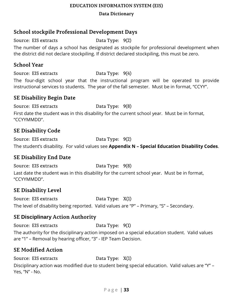**Data Dictionary**

## <span id="page-32-0"></span>**School stockpile Professional Development Days**

Source: EIS extracts Data Type: 9(2)

The number of days a school has designated as stockpile for professional development when the district did not declare stockpiling. If district declared stockpiling, this must be zero.

#### <span id="page-32-1"></span>**School Year**

Source: EIS extracts Data Type:  $9(4)$ 

The four-digit school year that the instructional program will be operated to provide instructional services to students. The year of the fall semester. Must be in format, "CCYY".

#### <span id="page-32-2"></span>**SE Disability Begin Date**

Source: EIS extracts Data Type: 9(8)

First date the student was in this disability for the current school year. Must be in format, "CCYYMMDD".

# <span id="page-32-3"></span>**SE Disability Code**

Source: EIS extracts Data Type: 9(2) The student's disability. For valid values see **Appendix N – Special Education Disability Codes**.

# <span id="page-32-4"></span>**SE Disability End Date**

Source: EIS extracts Data Type: 9(8) Last date the student was in this disability for the current school year. Must be in format, "CCYYMMDD".

# <span id="page-32-5"></span>**SE Disability Level**

Source: EIS extracts Data Type: X(1) The level of disability being reported. Valid values are "P" – Primary, "S" – Secondary.

# <span id="page-32-6"></span>**SE Disciplinary Action Authority**

Source: EIS extracts Data Type: 9(1) The authority for the disciplinary action imposed on a special education student. Valid values are "1" – Removal by hearing officer, "3" - IEP Team Decision.

# <span id="page-32-7"></span>**SE Modified Action**

Source: EIS extracts Data Type: X(1)

Disciplinary action was modified due to student being special education. Valid values are "Y" – Yes, "N" - No.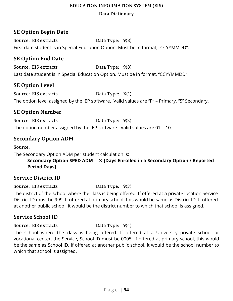## <span id="page-33-0"></span>**SE Option Begin Date**

Source: EIS extracts Data Type: 9(8) First date student is in Special Education Option. Must be in format, "CCYYMMDD".

## <span id="page-33-1"></span>**SE Option End Date**

Source: EIS extracts Data Type: 9(8) Last date student is in Special Education Option. Must be in format, "CCYYMMDD".

### <span id="page-33-2"></span>**SE Option Level**

Source: EIS extracts Data Type: X(1) The option level assigned by the IEP software. Valid values are "P" – Primary, "S" Secondary.

### <span id="page-33-3"></span>**SE Option Number**

Source: EIS extracts Data Type: 9(2) The option number assigned by the IEP software. Valid values are 01 – 10.

## <span id="page-33-4"></span>**Secondary Option ADM**

Source:

The Secondary Option ADM per student calculation is:

**Secondary Option SPED ADM =** Σ **[Days Enrolled in a Secondary Option / Reported Period Days]**

### <span id="page-33-5"></span>**Service District ID**

Source: EIS extracts Data Type: 9(3)

The district of the school where the class is being offered. If offered at a private location Service District ID must be 999. If offered at primary school, this would be same as District ID. If offered at another public school, it would be the district number to which that school is assigned.

### <span id="page-33-6"></span>**Service School ID**

#### Source: EIS extracts Data Type:  $9(4)$

The school where the class is being offered. If offered at a University private school or vocational center, the Service, School ID must be 0005. If offered at primary school, this would be the same as School ID. If offered at another public school, it would be the school number to which that school is assigned.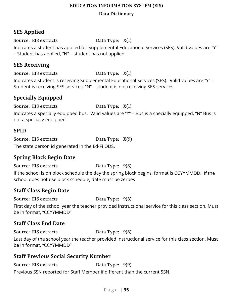#### **Data Dictionary**

# <span id="page-34-0"></span>**SES Applied**

Source: EIS extracts Data Type: X(1)

Indicates a student has applied for Supplemental Educational Services (SES). Valid values are "Y" – Student has applied, "N" – student has not applied.

## <span id="page-34-1"></span>**SES Receiving**

Source: EIS extracts Data Type: X(1)

Indicates a student is receiving Supplemental Educational Services (SES). Valid values are "Y" – Student is receiving SES services, "N" – student is not receiving SES services.

# <span id="page-34-2"></span>**Specially Equipped**

Source: EIS extracts Data Type: X(1)

Indicates a specially equipped bus. Valid values are "Y" – Bus is a specially equipped, "N" Bus is not a specially equipped.

### <span id="page-34-3"></span>**SPID**

Source: EIS extracts Data Type:  $X(9)$ The state person id generated in the Ed-Fi ODS.

# <span id="page-34-4"></span>**Spring Block Begin Date**

Source: EIS extracts Data Type: 9(8) If the school is on block schedule the day the spring block begins, format is CCYYMMDD. If the school does not use block schedule, date must be zeroes

# <span id="page-34-5"></span>**Staff Class Begin Date**

Source: EIS extracts Data Type: 9(8)

First day of the school year the teacher provided instructional service for this class section. Must be in format, "CCYYMMDD".

# <span id="page-34-6"></span>**Staff Class End Date**

Source: EIS extracts Data Type: 9(8)

Last day of the school year the teacher provided instructional service for this class section. Must be in format, "CCYYMMDD".

# <span id="page-34-7"></span>**Staff Previous Social Security Number**

Source: EIS extracts Data Type: 9(9) Previous SSN reported for Staff Member if different than the current SSN.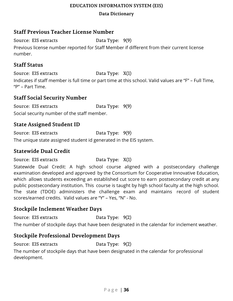#### **Data Dictionary**

#### <span id="page-35-0"></span>**Staff Previous Teacher License Number**

Source: EIS extracts Data Type: 9(9)

Previous license number reported for Staff Member if different from their current license number.

#### <span id="page-35-1"></span>**Staff Status**

Source: EIS extracts Data Type: X(1)

Indicates if staff member is full time or part time at this school. Valid values are "F" – Full Time, "P" – Part Time.

### <span id="page-35-2"></span>**Staff Social Security Number**

Source: EIS extracts Data Type: 9(9) Social security number of the staff member.

### <span id="page-35-3"></span>**State Assigned Student ID**

Source: EIS extracts Data Type: 9(9)

The unique state assigned student id generated in the EIS system.

#### <span id="page-35-4"></span>**Statewide Dual Credit**

Source: EIS extracts Data Type: X(1)

Statewide Dual Credit: A high school course aligned with a postsecondary challenge examination developed and approved by the Consortium for Cooperative Innovative Education, which allows students exceeding an established cut score to earn postsecondary credit at any public postsecondary institution. This course is taught by high school faculty at the high school. The state (TDOE) administers the challenge exam and maintains record of student scores/earned credits. Valid values are "Y" – Yes, "N" - No.

#### <span id="page-35-5"></span>**Stockpile Inclement Weather Days**

Source: EIS extracts Data Type: 9(2)

The number of stockpile days that have been designated in the calendar for inclement weather.

### <span id="page-35-6"></span>**Stockpile Professional Development Days**

Source: EIS extracts Data Type: 9(2)

The number of stockpile days that have been designated in the calendar for professional development.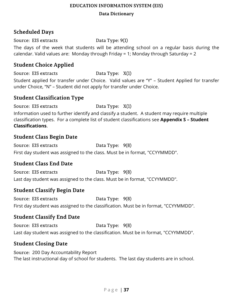#### **Data Dictionary**

## <span id="page-36-0"></span>**Scheduled Days**

Source: EIS extracts Data Type: 9(1)

The days of the week that students will be attending school on a regular basis during the calendar. Valid values are: Monday through Friday = 1; Monday through Saturday = 2

#### <span id="page-36-1"></span>**Student Choice Applied**

Source: EIS extracts Data Type: X(1)

Student applied for transfer under Choice. Valid values are "Y" – Student Applied for transfer under Choice, "N" – Student did not apply for transfer under Choice.

#### <span id="page-36-2"></span>**Student Classification Type**

Source: EIS extracts Data Type: X(1)

Information used to further identify and classify a student. A student may require multiple classification types. For a complete list of student classifications see **Appendix S – Student Classifications**.

#### <span id="page-36-3"></span>**Student Class Begin Date**

Source: EIS extracts Data Type: 9(8) First day student was assigned to the class. Must be in format, "CCYYMMDD".

### <span id="page-36-4"></span>**Student Class End Date**

Source: EIS extracts Data Type: 9(8) Last day student was assigned to the class. Must be in format, "CCYYMMDD".

# <span id="page-36-5"></span>**Student Classify Begin Date**

Source: EIS extracts Data Type: 9(8) First day student was assigned to the classification. Must be in format, "CCYYMMDD".

### <span id="page-36-6"></span>**Student Classify End Date**

Source: EIS extracts Data Type:  $9(8)$ Last day student was assigned to the classification. Must be in format, "CCYYMMDD".

# <span id="page-36-7"></span>**Student Closing Date**

Source: 200 Day Accountability Report The last instructional day of school for students. The last day students are in school.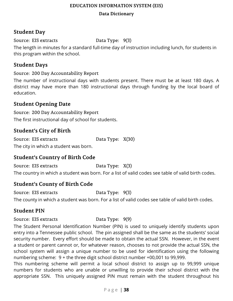#### **Data Dictionary**

## <span id="page-37-0"></span>**Student Day**

Source: EIS extracts Data Type: 9(3)

The length in minutes for a standard full-time day of instruction including lunch, for students in this program within the school.

## <span id="page-37-1"></span>**Student Days**

Source: 200 Day Accountability Report

The number of instructional days with students present. There must be at least 180 days. A district may have more than 180 instructional days through funding by the local board of education.

## <span id="page-37-2"></span>**Student Opening Date**

Source: 200 Day Accountability Report The first instructional day of school for students.

## <span id="page-37-3"></span>**Student's City of Birth**

Source: EIS extracts Data Type: X(30) The city in which a student was born.

# <span id="page-37-4"></span>**Student's Country of Birth Code**

Source: EIS extracts Data Type: X(3) The country in which a student was born. For a list of valid codes see table of valid birth codes.

# <span id="page-37-5"></span>**Student's County of Birth Code**

Source: EIS extracts Data Type: 9(3)

The county in which a student was born. For a list of valid codes see table of valid birth codes.

# <span id="page-37-6"></span>**Student PIN**

Source: EIS extracts Data Type: 9(9)

The Student Personal Identification Number (PIN) is used to uniquely identify students upon entry into a Tennessee public school. The pin assigned shall be the same as the students' social security number. Every effort should be made to obtain the actual SSN. However, in the event a student or parent cannot or, for whatever reason, chooses to not provide the actual SSN, the school system will assign a unique number to be used for identification using the following numbering scheme: 9 + the three digit school district number +00,001 to 99,999.

This numbering scheme will permit a local school district to assign up to 99,999 unique numbers for students who are unable or unwilling to provide their school district with the appropriate SSN. This uniquely assigned PIN must remain with the student throughout his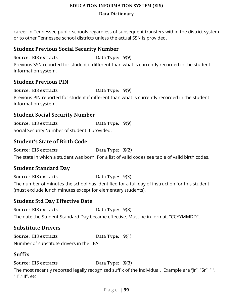#### **Data Dictionary**

career in Tennessee public schools regardless of subsequent transfers within the district system or to other Tennessee school districts unless the actual SSN is provided.

## <span id="page-38-0"></span>**Student Previous Social Security Number**

Source: EIS extracts Data Type: 9(9)

Previous SSN reported for student if different than what is currently recorded in the student information system.

# <span id="page-38-1"></span>**Student Previous PIN**

Source: EIS extracts Data Type: 9(9) Previous PIN reported for student if different than what is currently recorded in the student information system.

# <span id="page-38-2"></span>**Student Social Security Number**

Source: EIS extracts Data Type: 9(9) Social Security Number of student if provided.

# <span id="page-38-3"></span>**Student's State of Birth Code**

Source: EIS extracts Data Type: X(2) The state in which a student was born. For a list of valid codes see table of valid birth codes.

# <span id="page-38-4"></span>**Student Standard Day**

Source: EIS extracts Data Type: 9(3) The number of minutes the school has identified for a full day of instruction for this student (must exclude lunch minutes except for elementary students).

# <span id="page-38-5"></span>**Student Std Day Effective Date**

Source: EIS extracts Data Type: 9(8) The date the Student Standard Day became effective. Must be in format, "CCYYMMDD".

# <span id="page-38-6"></span>**Substitute Drivers**

Source: EIS extracts Data Type:  $9(4)$ Number of substitute drivers in the LEA.

# <span id="page-38-7"></span>**Suffix**

Source: EIS extracts Data Type: X(3)

The most recently reported legally recognized suffix of the individual. Example are "Jr", "Sr", "I", "II","III", etc.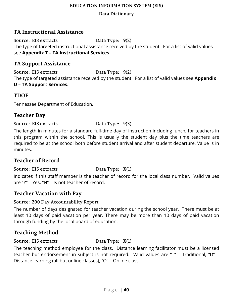#### **Data Dictionary**

## <span id="page-39-0"></span>**TA Instructional Assistance**

Source: EIS extracts Data Type: 9(2) The type of targeted instructional assistance received by the student. For a list of valid values see **Appendix T – TA Instructional Services**.

#### <span id="page-39-1"></span>**TA Support Assistance**

Source: EIS extracts Data Type: 9(2) The type of targeted assistance received by the student. For a list of valid values see **Appendix U – TA Support Services.**

#### <span id="page-39-2"></span>**TDOE**

<span id="page-39-3"></span>Tennessee Department of Education.

### **Teacher Day**

#### Source: EIS extracts Data Type: 9(3)

The length in minutes for a standard full-time day of instruction including lunch, for teachers in this program within the school. This is usually the student day plus the time teachers are required to be at the school both before student arrival and after student departure. Value is in minutes.

### <span id="page-39-4"></span>**Teacher of Record**

Source: EIS extracts Data Type: X(1)

Indicates if this staff member is the teacher of record for the local class number. Valid values are "Y" – Yes, "N" – Is not teacher of record.

### <span id="page-39-5"></span>**Teacher Vacation with Pay**

Source: 200 Day Accountability Report

The number of days designated for teacher vacation during the school year. There must be at least 10 days of paid vacation per year. There may be more than 10 days of paid vacation through funding by the local board of education.

# <span id="page-39-6"></span>**Teaching Method**

Source: EIS extracts Data Type: X(1)

The teaching method employee for the class. Distance learning facilitator must be a licensed teacher but endorsement in subject is not required. Valid values are "T" – Traditional, "D" – Distance learning (all but online classes), "O" – Online class.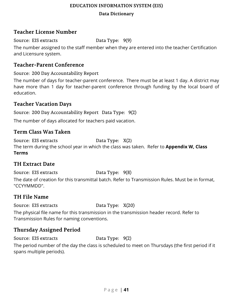#### **Data Dictionary**

## <span id="page-40-0"></span>**Teacher License Number**

Source: EIS extracts Data Type: 9(9)

The number assigned to the staff member when they are entered into the teacher Certification and Licensure system.

#### <span id="page-40-1"></span>**Teacher-Parent Conference**

Source: 200 Day Accountability Report

The number of days for teacher-parent conference. There must be at least 1 day. A district may have more than 1 day for teacher-parent conference through funding by the local board of education.

### <span id="page-40-2"></span>**Teacher Vacation Days**

Source: 200 Day Accountability Report Data Type: 9(2)

The number of days allocated for teachers paid vacation.

### <span id="page-40-3"></span>**Term Class Was Taken**

Source: EIS extracts Data Type: X(2) The term during the school year in which the class was taken. Refer to **Appendix W, Class Terms**

### <span id="page-40-4"></span>**TH Extract Date**

Source: EIS extracts Data Type: 9(8)

The date of creation for this transmittal batch. Refer to Transmission Rules. Must be in format, "CCYYMMDD".

### <span id="page-40-5"></span>**TH File Name**

Source: EIS extracts Data Type: X(20)

The physical file name for this transmission in the transmission header record. Refer to Transmission Rules for naming conventions.

# <span id="page-40-6"></span>**Thursday Assigned Period**

Source: EIS extracts Data Type: 9(2)

The period number of the day the class is scheduled to meet on Thursdays (the first period if it spans multiple periods).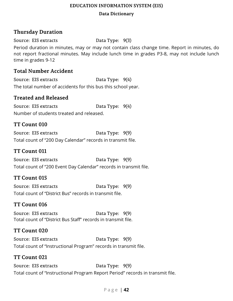#### **Data Dictionary**

# <span id="page-41-0"></span>**Thursday Duration**

Source: EIS extracts Data Type: 9(3)

Period duration in minutes, may or may not contain class change time. Report in minutes, do not report fractional minutes. May include lunch time in grades P3-8, may not include lunch time in grades 9-12

#### <span id="page-41-1"></span>**Total Number Accident**

Source: EIS extracts Data Type:  $9(4)$ The total number of accidents for this bus this school year.

#### <span id="page-41-2"></span>**Treated and Released**

Source: EIS extracts Data Type:  $9(4)$ Number of students treated and released.

#### <span id="page-41-3"></span>**TT Count 010**

Source: EIS extracts Data Type: 9(9) Total count of "200 Day Calendar" records in transmit file.

#### <span id="page-41-4"></span>**TT Count 011**

Source: EIS extracts Data Type: 9(9) Total count of "200 Event Day Calendar" records in transmit file.

### <span id="page-41-5"></span>**TT Count 015**

Source: EIS extracts Data Type: 9(9) Total count of "District Bus" records in transmit file.

### <span id="page-41-6"></span>**TT Count 016**

Source: EIS extracts Data Type: 9(9) Total count of "District Bus Staff" records in transmit file.

#### <span id="page-41-7"></span>**TT Count 020**

Source: EIS extracts Data Type: 9(9) Total count of "Instructional Program" records in transmit file.

#### <span id="page-41-8"></span>**TT Count 021**

Source: EIS extracts Data Type: 9(9) Total count of "Instructional Program Report Period" records in transmit file.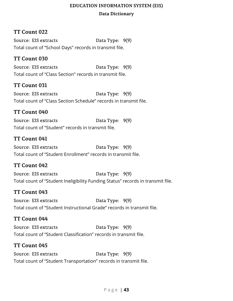## <span id="page-42-0"></span>**TT Count 022**

Source: EIS extracts Data Type:  $9(9)$ Total count of "School Days" records in transmit file.

#### <span id="page-42-1"></span>**TT Count 030**

Source: EIS extracts Data Type: 9(9) Total count of "Class Section" records in transmit file.

### <span id="page-42-2"></span>**TT Count 031**

Source: EIS extracts Data Type: 9(9) Total count of "Class Section Schedule" records in transmit file.

#### <span id="page-42-3"></span>**TT Count 040**

Source: EIS extracts Data Type:  $9(9)$ Total count of "Student" records in transmit file.

#### <span id="page-42-4"></span>**TT Count 041**

Source: EIS extracts Data Type: 9(9) Total count of "Student Enrollment" records in transmit file.

### <span id="page-42-5"></span>**TT Count 042**

Source: EIS extracts Data Type: 9(9) Total count of "Student Ineligibility Funding Status" records in transmit file.

#### <span id="page-42-6"></span>**TT Count 043**

Source: EIS extracts Data Type: 9(9) Total count of "Student Instructional Grade" records in transmit file.

#### <span id="page-42-7"></span>**TT Count 044**

Source: EIS extracts Data Type: 9(9) Total count of "Student Classification" records in transmit file.

#### <span id="page-42-8"></span>**TT Count 045**

Source: EIS extracts Data Type: 9(9) Total count of "Student Transportation" records in transmit file.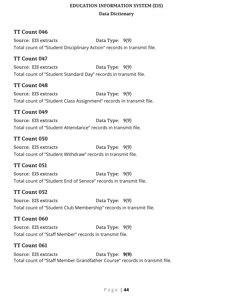## <span id="page-43-0"></span>**TT Count 046**

Source: EIS extracts Data Type: 9(9) Total count of "Student Disciplinary Action" records in transmit file.

#### <span id="page-43-1"></span>**TT Count 047**

Source: EIS extracts Data Type: 9(9) Total count of "Student Standard Day" records in transmit file.

#### <span id="page-43-2"></span>**TT Count 048**

Source: EIS extracts Data Type: 9(9) Total count of "Student Class Assignment" records in transmit file.

#### <span id="page-43-3"></span>**TT Count 049**

Source: EIS extracts Data Type:  $9(9)$ Total count of "Student Attendance" records in transmit file.

#### <span id="page-43-4"></span>**TT Count 050**

Source: EIS extracts Data Type: 9(9) Total count of "Student Withdraw" records in transmit file.

### <span id="page-43-5"></span>**TT Count 051**

Source: EIS extracts Data Type: 9(9) Total count of "Student End of Service" records in transmit file.

#### <span id="page-43-6"></span>**TT Count 052**

Source: EIS extracts Data Type: 9(9) Total count of "Student Club Membership" records in transmit file.

#### <span id="page-43-7"></span>**TT Count 060**

Source: EIS extracts Data Type: 9(9) Total count of "Staff Member" records in transmit file.

#### <span id="page-43-8"></span>**TT Count 061**

Source: EIS extracts Data Type: **9(9)** Total count of "Staff Member Grandfather Course" records in transmit file.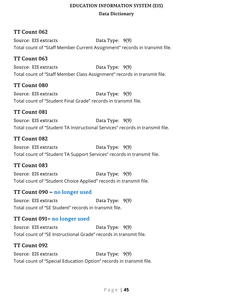## <span id="page-44-0"></span>**TT Count 062**

Source: EIS extracts Data Type: 9(9) Total count of "Staff Member Current Assignment" records in transmit file.

#### <span id="page-44-1"></span>**TT Count 063**

Source: EIS extracts Data Type: 9(9) Total count of "Staff Member Class Assignment" records in transmit file.

#### <span id="page-44-2"></span>**TT Count 080**

Source: EIS extracts Data Type: 9(9) Total count of "Student Final Grade" records in transmit file.

#### <span id="page-44-3"></span>**TT Count 081**

Source: EIS extracts Data Type: 9(9) Total count of "Student TA Instructional Services" records in transmit file.

#### <span id="page-44-4"></span>**TT Count 082**

Source: EIS extracts Data Type: 9(9) Total count of "Student TA Support Services" records in transmit file.

#### <span id="page-44-5"></span>**TT Count 083**

Source: EIS extracts Data Type: 9(9) Total count of "Student Choice Applied" records in transmit file.

#### <span id="page-44-6"></span>**TT Count 090 – no longer used**

Source: EIS extracts Data Type: 9(9) Total count of "SE Student" records in transmit file.

### <span id="page-44-7"></span>**TT Count 091– no longer used**

Source: EIS extracts Data Type: 9(9) Total count of "SE Instructional Grade" records in transmit file.

#### <span id="page-44-8"></span>**TT Count 092**

Source: EIS extracts Data Type:  $9(9)$ Total count of "Special Education Option" records in transmit file.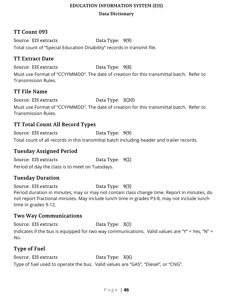## <span id="page-45-0"></span>**TT Count 093**

Source: EIS extracts Data Type: 9(9) Total count of "Special Education Disability" records in transmit file.

#### <span id="page-45-1"></span>**TT Extract Date**

Source: EIS extracts Data Type: 9(8)

Must use Format of "CCYYMMDD". The date of creation for this transmittal batch. Refer to Transmission Rules.

## <span id="page-45-2"></span>**TT File Name**

Source: EIS extracts Data Type: X(20) Must use Format of "CCYYMMDD". The date of creation for this transmittal batch. Refer to Transmission Rules.

### <span id="page-45-3"></span>**TT Total Count All Record Types**

Source: EIS extracts Data Type: 9(9) Total count of all records in this transmittal batch including header and trailer records.

### <span id="page-45-4"></span>**Tuesday Assigned Period**

Source: EIS extracts Data Type: 9(2) Period of day the class is to meet on Tuesdays.

### <span id="page-45-5"></span>**Tuesday Duration**

Source: EIS extracts Data Type: 9(3) Period duration in minutes, may or may not contain class change time. Report in minutes, do not report fractional minutes. May include lunch time in grades P3-8, may not include lunch time in grades 9-12.

### <span id="page-45-6"></span>**Two Way Communications**

Source: EIS extracts Data Type: X(1) Indicates if the bus is equipped for two way communications. Valid values are "Y" = Yes, "N" = No.

### <span id="page-45-7"></span>**Type of Fuel**

Source: EIS extracts Data Type:  $X(6)$ Type of fuel used to operate the bus. Valid values are "GAS", "Diesel", or "CNG".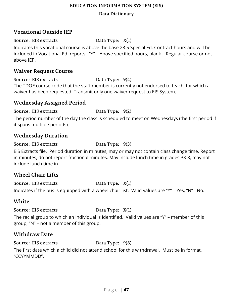#### **Data Dictionary**

## <span id="page-46-0"></span>**Vocational Outside IEP**

Source: EIS extracts Data Type: X(1)

Indicates this vocational course is above the base 23.5 Special Ed. Contract hours and will be included in Vocational Ed. reports. "Y" – Above specified hours, blank – Regular course or not above IEP.

#### <span id="page-46-1"></span>**Waiver Request Course**

Source: EIS extracts Data Type:  $9(4)$ The TDOE course code that the staff member is currently not endorsed to teach, for which a waiver has been requested. Transmit only one waiver request to EIS System.

### <span id="page-46-2"></span>**Wednesday Assigned Period**

Source: EIS extracts Data Type: 9(2)

The period number of the day the class is scheduled to meet on Wednesdays (the first period if it spans multiple periods).

#### <span id="page-46-3"></span>**Wednesday Duration**

Source: EIS extracts Data Type: 9(3)

EIS Extracts file. Period duration in minutes, may or may not contain class change time. Report in minutes, do not report fractional minutes. May include lunch time in grades P3-8, may not include lunch time in

### <span id="page-46-4"></span>**Wheel Chair Lifts**

Source: EIS extracts Data Type: X(1) Indicates if the bus is equipped with a wheel chair list. Valid values are "Y" – Yes, "N" - No.

### <span id="page-46-5"></span>**White**

Source: EIS extracts Data Type: X(1)

The racial group to which an individual is identified. Valid values are "Y" – member of this group, "N" – not a member of this group.

# <span id="page-46-6"></span>**Withdraw Date**

Source: EIS extracts Data Type: 9(8)

The first date which a child did not attend school for this withdrawal. Must be in format, "CCYYMMDD".